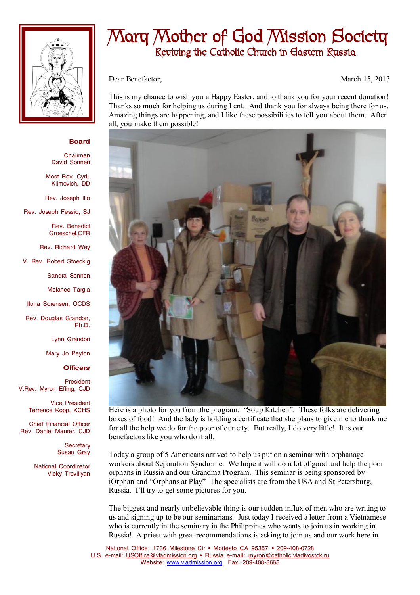

## **Mary Mother of God Mission Society Reviving the Catholic Church in Eastern Russia**

Dear Benefactor, March 15, 2013

This is my chance to wish you a Happy Easter, and to thank you for your recent donation! Thanks so much for helping us during Lent. And thank you for always being there for us. Amazing things are happening, and I like these possibilities to tell you about them. After all, you make them possible!



Here is a photo for you from the program: "Soup Kitchen". These folks are delivering boxes of food! And the lady is holding a certificate that she plans to give me to thank me for all the help we do for the poor of our city. But really, I do very little! It is our benefactors like you who do it all.

Today a group of 5 Americans arrived to help us put on a seminar with orphanage workers about Separation Syndrome. We hope it will do a lot of good and help the poor orphans in Russia and our Grandma Program. This seminar is being sponsored by iOrphan and "Orphans at Play" The specialists are from the USA and St Petersburg, Russia. I'll try to get some pictures for you.

The biggest and nearly unbelievable thing is our sudden influx of men who are writing to us and signing up to be our seminarians. Just today I received a letter from a Vietnamese who is currently in the seminary in the Philippines who wants to join us in working in Russia! A priest with great recommendations is asking to join us and our work here in

National Office: 1736 Milestone Cir • Modesto CA 95357 • 209-408-0728 U.S. e-mail: [USOffice@vladmission.org](mailto:USOffice@vladmission.org) · Russia e-mail: [myron@catholic.vladivostok.ru](mailto:myron@catholic.vladivostok.ru) Website: [www.vladmission.org](http://www.vladmission.org) Fax: 209-408-8665

## **Board**

Chairman David Sonnen

Most Rev. Cyril. Klimovich, DD

Rev. Joseph Illo

Rev. Joseph Fessio, SJ

Rev. Benedict Groeschel,CFR

Rev. Richard Wey

V. Rev. Robert Stoeckig

Sandra Sonnen

Melanee Targia

Ilona Sorensen, OCDS

Rev. Douglas Grandon, Ph.D.

Lynn Grandon

Mary Jo Peyton

## **Officers**

President V.Rev. Myron Effing, CJD

> Vice President Terrence Kopp, KCHS

Chief Financial Officer Rev. Daniel Maurer, CJD

> **Secretary** Susan Gray

National Coordinator Vicky Trevillyan